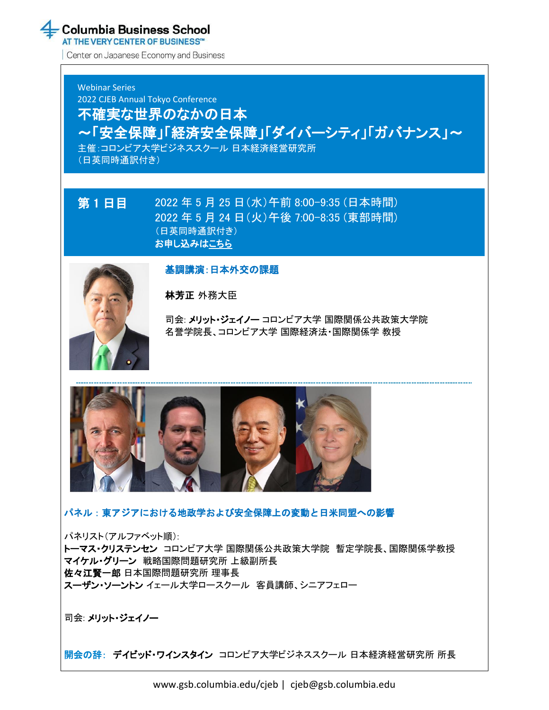AT THE VERY CENTER OF BUSINESS™

Center on Japanese Economy and Business

Webinar Series 2022 CJEB Annual Tokyo Conference 不確実な世界のなかの日本 ~「安全保障」「経済安全保障」「ダイバーシティ」「ガバナンス」~ 主催:コロンビア大学ビジネススクール 日本経済経営研究所 (日英同時通訳付き)

### 第 1 日目 2022 年 5 月 25 日(水)午前 8:00-9:35 (日本時間) 2022 年 5 月 24 日(火)午後 7:00-8:35 (東部時間) (日英同時通訳付き) [お申し込みはこちら](https://cjeb-webinar-tokyo-day1.eventbrite.com/)



基調講演:日本外交の課題

林芳正 外務大臣

司会: メリット・ジェイノー コロンビア大学 国際関係公共政策大学院 名誉学院長、コロンビア大学 国際経済法・国際関係学 教授



パネル:東アジアにおける地政学および安全保障上の変動と日米同盟への影響

パネリスト(アルファベット順): トーマス・クリステンセン コロンビア大学 国際関係公共政策大学院 暫定学院長、国際関係学教授 マイケル・グリーン 戦略国際問題研究所 上級副所長 佐々江賢一郎 日本国際問題研究所 理事長 スーザン・ソーントン イェール大学ロースクール 客員講師、シニアフェロー

司会: メリット・ジェイノー

開会の辞: デイビッド・ワインスタイン コロンビア大学ビジネススクール 日本経済経営研究所 所長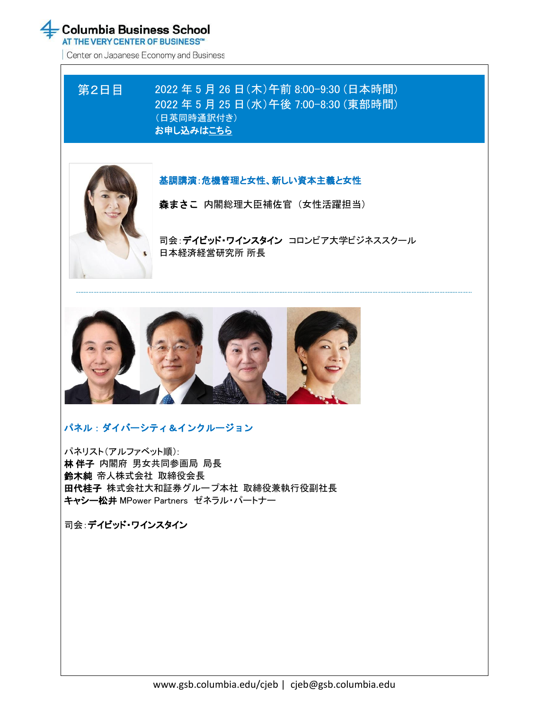AT THE VERY CENTER OF BUSINESS™

Center on Japanese Economy and Business

# 第2日目 2022 年 5 月 26 日(木)午前 8:00-9:30 (日本時間) 2022 年 5 月 25 日(水)午後 7:00-8:30 (東部時間) (日英同時通訳付き) [お申し込みはこちら](https://cjeb-webinar-tokyo-day2.eventbrite.com/)



## 基調講演:危機管理と女性、新しい資本主義と女性

森まさこ 内閣総理大臣補佐官 (女性活躍担当)

司会:デイビッド・ワインスタイン コロンビア大学ビジネススクール 日本経済経営研究所 所長



# パネル:ダイバーシティ&インクルージョン

パネリスト(アルファベット順): 林 伴子 内閣府 男女共同参画局 局長 鈴木純 帝人株式会社 取締役会長 田代桂子 株式会社大和証券グループ本社 取締役兼執行役副社長 キャシー松井 MPower Partners ゼネラル・パートナー

司会:デイビッド・ワインスタイン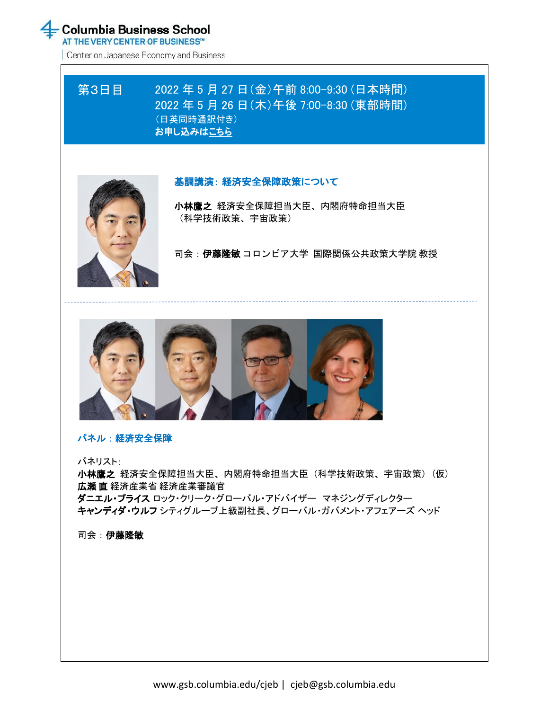AT THE VERY CENTER OF BUSINESS™

Center on Japanese Economy and Business

# 第3日目 2022 年 5 月 27 日(金)午前 8:00-9:30 (日本時間) 2022 年 5 月 26 日(木)午後 7:00-8:30 (東部時間) (日英同時通訳付き) [お申し込みはこちら](https://cjeb-webinar-tokyo-day3.eventbrite.com/)



### 基調講演: 経済安全保障政策について

小林鷹之 経済安全保障担当大臣、内閣府特命担当大臣 (科学技術政策、宇宙政策)

司会:伊藤隆敏 コロンビア大学 国際関係公共政策大学院 教授



### パネル:経済安全保障

パネリスト:

小林鷹之 経済安全保障担当大臣、内閣府特命担当大臣(科学技術政策、宇宙政策)(仮) 広瀬 直 経済産業省 経済産業審議官 ダニエル・プライス ロック・クリーク・グローバル・アドバイザー マネジングディレクター キャンディダ・ウルフ シティグループ上級副社長、グローバル・ガバメント・アフェアーズ ヘッド

司会:伊藤隆敏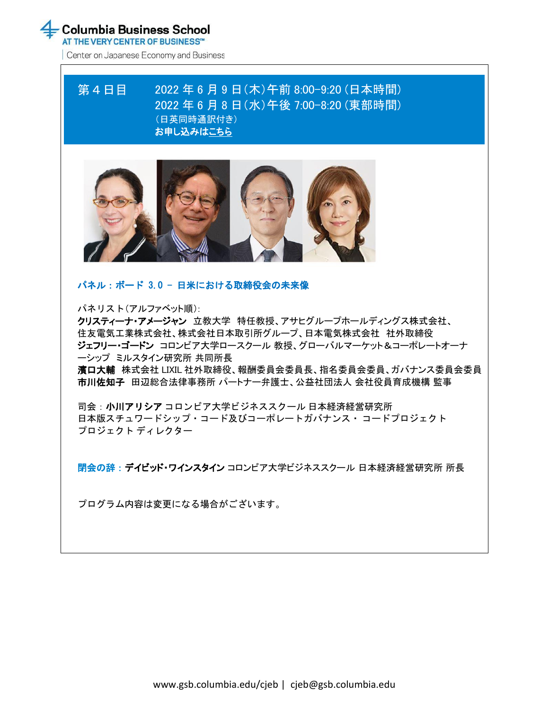AT THE VERY CENTER OF BUSINESS™

Center on Japanese Economy and Business

# 第4日目 2022 年 6 月 9 日(木)午前 8:00-9:20 (日本時間) 2022 年 6 月 8 日(水)午後 7:00-8:20 (東部時間) (日英同時通訳付き) [お申し込みはこちら](https://cjeb-webinar-tokyo-day4.eventbrite.com/)



### パネル:ボード 3.0 - 日米における取締役会の未来像

パネリスト(アルファベット順):

クリスティーナ・アメージャン 立教大学 特任教授、アサヒグループホールディングス株式会社、 住友電気工業株式会社、株式会社日本取引所グループ、日本電気株式会社 社外取締役 ジェフリー・ゴードン コロンビア大学ロースクール 教授、グローバルマーケット&コーポレートオーナ ーシップ ミルスタイン研究所 共同所長

濱口大輔 株式会社 LIXIL 社外取締役、報酬委員会委員長、指名委員会委員、ガバナンス委員会委員 市川佐知子 田辺総合法律事務所 パートナー弁護士、公益社団法人 会社役員育成機構 監事

司会:小川アリシア コロンビア大学ビジネススクール 日本経済経営研究所 日本版スチュワードシップ・コード及びコーポレートガバナンス・ コードプロジェクト プロジェクト ディレクター

閉会の辞:デイビッド・ワインスタイン コロンビア大学ビジネススクール 日本経済経営研究所 所長

プログラム内容は変更になる場合がございます。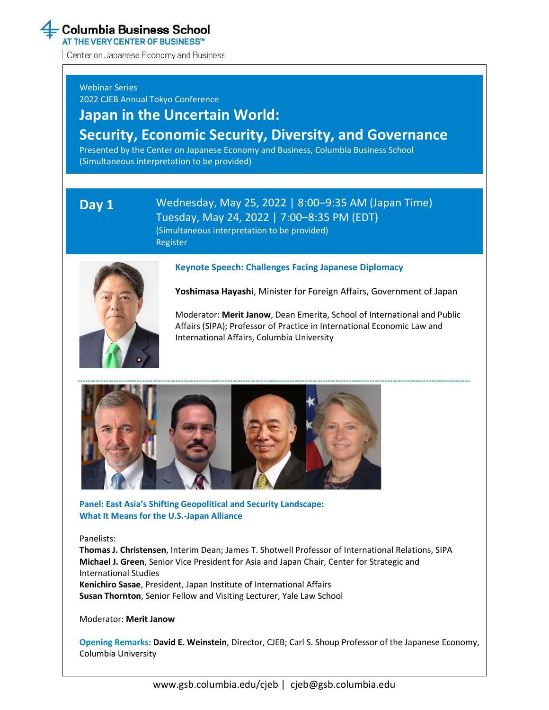AT THE VERY CENTER OF BUSINESS™

Center on Japanese Economy and Business

### Webinar Series

2022 CJEB Annual Tokyo Conference

# **Japan in the Uncertain World: Security, Economic Security, Diversity, and Governance**

Presented by the Center on Japanese Economy and Business, Columbia Business School (Simultaneous interpretation to be provided)

### **Day 1** Wednesday, May 25, 2022 | 8:00–9:35 AM (Japan Time) Tuesday, May 24, 2022 | 7:00–8:35 PM (EDT) (Simultaneous interpretation to be provided) [Register](https://cjeb-webinar-tokyo-day1.eventbrite.com/)



### **Keynote Speech: Challenges Facing Japanese Diplomacy**

**Yoshimasa Hayashi**, Minister for Foreign Affairs, Government of Japan

Moderator: **Merit Janow**, Dean Emerita, School of International and Public Affairs (SIPA); Professor of Practice in International Economic Law and International Affairs, Columbia University



**Panel: East Asia's Shifting Geopolitical and Security Landscape: What It Means for the U.S.-Japan Alliance**

### Panelists:

**Thomas J. Christensen**, Interim Dean; James T. Shotwell Professor of International Relations, SIPA **Michael J. Green**, Senior Vice President for Asia and Japan Chair, Center for Strategic and International Studies **Kenichiro Sasae**, President, Japan Institute of International Affairs **Susan Thornton**, Senior Fellow and Visiting Lecturer, Yale Law School

Moderator: **Merit Janow**

**Opening Remarks: David E. Weinstein**, Director, CJEB; Carl S. Shoup Professor of the Japanese Economy, Columbia University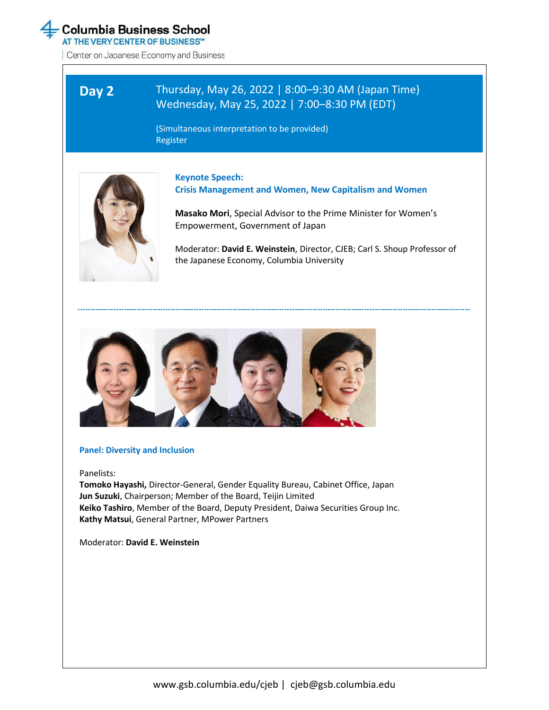

AT THE VERY CENTER OF BUSINESS™

Center on Japanese Economy and Business

# **Day 2** Thursday, May 26, 2022 | 8:00–9:30 AM (Japan Time) Wednesday, May 25, 2022 | 7:00–8:30 PM (EDT)

(Simultaneous interpretation to be provided) [Register](https://cjeb-webinar-tokyo-day2.eventbrite.com/)



**[Keynote Speech:](https://cjeb-webinar-tokyo-day2.eventbrite.com/)  [Crisis Management and Women, New Capitalism and Women](https://cjeb-webinar-tokyo-day2.eventbrite.com/)**

**Masako Mori**, Special Advisor to the Prime Minister for Women's Empowerment, Government of Japan

Moderator: **David E. Weinstein**, Director, CJEB; Carl S. Shoup Professor of the Japanese Economy, Columbia University



#### **Panel: Diversity and Inclusion**

Panelists:

**Tomoko Hayashi,** Director-General, Gender Equality Bureau, Cabinet Office, Japan **Jun Suzuki**, Chairperson; Member of the Board, Teijin Limited **Keiko Tashiro**, Member of the Board, Deputy President, Daiwa Securities Group Inc. **Kathy Matsui**, General Partner, MPower Partners

Moderator: **David E. Weinstein**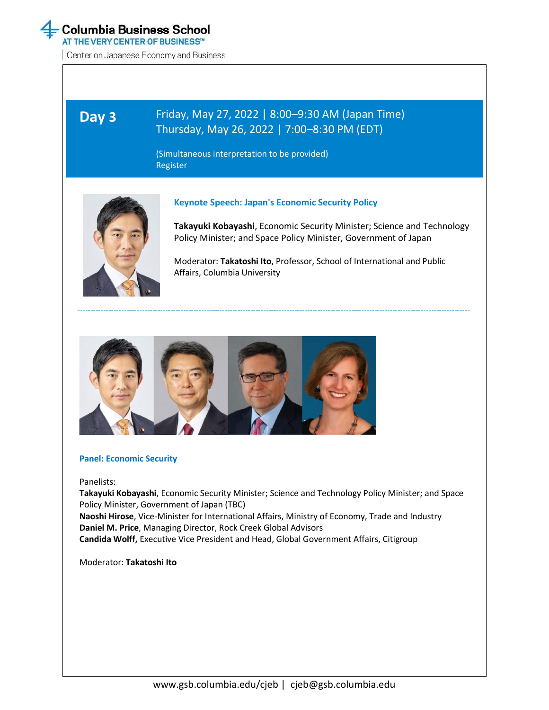

**Day 3**

AT THE VERY CENTER OF BUSINESS™

Center on Japanese Economy and Business

# Friday, May 27, 2022 | 8:00–9:30 AM (Japan Time) Thursday, May 26, 2022 | 7:00–8:30 PM (EDT)

(Simultaneous interpretation to be provided) [Register](https://cjeb-webinar-tokyo-day3.eventbrite.com/)



### **Keynote Speech: Japan's Economic Security Policy**

**Takayuki Kobayashi**, Economic Security Minister; Science and Technology Policy Minister; and Space Policy Minister, Government of Japan

Moderator: **Takatoshi Ito**, Professor, School of International and Public Affairs, Columbia University



#### **Panel: Economic Security**

Panelists:

**Takayuki Kobayashi**, Economic Security Minister; Science and Technology Policy Minister; and Space Policy Minister, Government of Japan (TBC) **Naoshi Hirose**, Vice-Minister for International Affairs, Ministry of Economy, Trade and Industry **Daniel M. Price**, Managing Director, Rock Creek Global Advisors **Candida Wolff,** Executive Vice President and Head, Global Government Affairs, Citigroup

Moderator: **Takatoshi Ito**